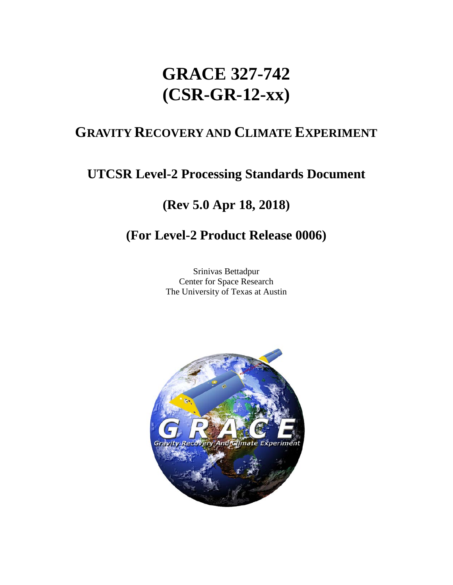# **GRACE 327-742 (CSR-GR-12-xx)**

# **GRAVITY RECOVERY AND CLIMATE EXPERIMENT**

# **UTCSR Level-2 Processing Standards Document**

# **(Rev 5.0 Apr 18, 2018)**

# **(For Level-2 Product Release 0006)**

Srinivas Bettadpur Center for Space Research The University of Texas at Austin

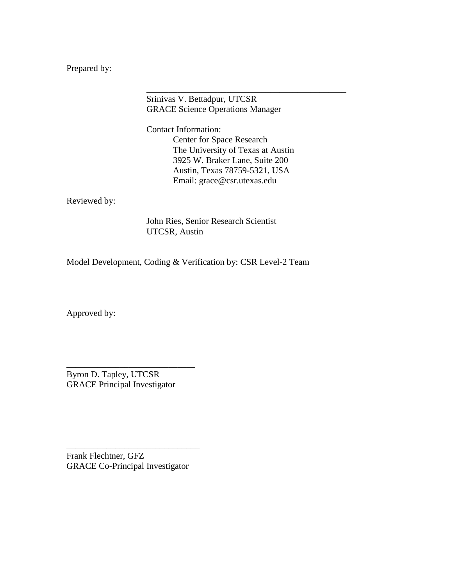Prepared by:

Srinivas V. Bettadpur, UTCSR GRACE Science Operations Manager

Contact Information: Center for Space Research The University of Texas at Austin 3925 W. Braker Lane, Suite 200 Austin, Texas 78759-5321, USA Email: grace@csr.utexas.edu

\_\_\_\_\_\_\_\_\_\_\_\_\_\_\_\_\_\_\_\_\_\_\_\_\_\_\_\_\_\_\_\_\_\_\_\_\_\_\_\_\_\_\_\_\_

Reviewed by:

John Ries, Senior Research Scientist UTCSR, Austin

Model Development, Coding & Verification by: CSR Level-2 Team

Approved by:

Byron D. Tapley, UTCSR GRACE Principal Investigator

\_\_\_\_\_\_\_\_\_\_\_\_\_\_\_\_\_\_\_\_\_\_\_\_\_\_\_\_\_

Frank Flechtner, GFZ GRACE Co-Principal Investigator

\_\_\_\_\_\_\_\_\_\_\_\_\_\_\_\_\_\_\_\_\_\_\_\_\_\_\_\_\_\_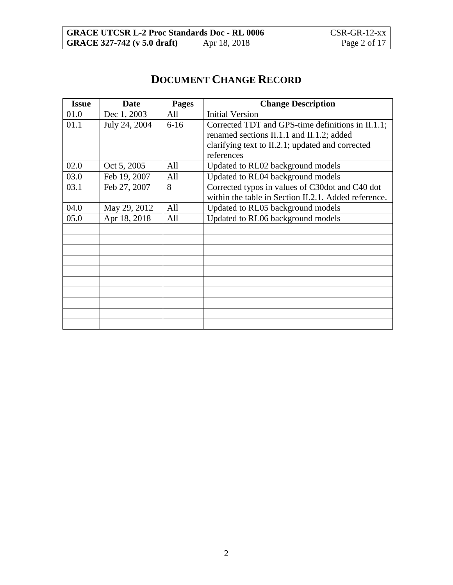# **DOCUMENT CHANGE RECORD**

| <b>Issue</b> | <b>Date</b>   | <b>Pages</b> | <b>Change Description</b>                            |
|--------------|---------------|--------------|------------------------------------------------------|
| 01.0         | Dec 1, 2003   | All          | <b>Initial Version</b>                               |
| 01.1         | July 24, 2004 | $6-16$       | Corrected TDT and GPS-time definitions in II.1.1;    |
|              |               |              | renamed sections II.1.1 and II.1.2; added            |
|              |               |              | clarifying text to II.2.1; updated and corrected     |
|              |               |              | references                                           |
| 02.0         | Oct 5, 2005   | All          | Updated to RL02 background models                    |
| 03.0         | Feb 19, 2007  | All          | Updated to RL04 background models                    |
| 03.1         | Feb 27, 2007  | 8            | Corrected typos in values of C30dot and C40 dot      |
|              |               |              | within the table in Section II.2.1. Added reference. |
| 04.0         | May 29, 2012  | All          | Updated to RL05 background models                    |
| 05.0         | Apr 18, 2018  | All          | Updated to RL06 background models                    |
|              |               |              |                                                      |
|              |               |              |                                                      |
|              |               |              |                                                      |
|              |               |              |                                                      |
|              |               |              |                                                      |
|              |               |              |                                                      |
|              |               |              |                                                      |
|              |               |              |                                                      |
|              |               |              |                                                      |
|              |               |              |                                                      |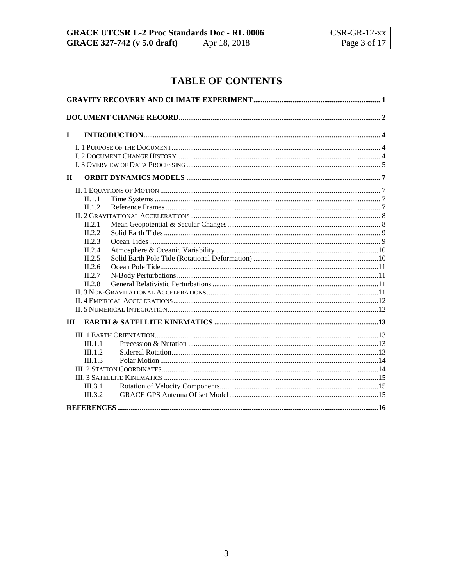## **TABLE OF CONTENTS**

| $\mathbf I$ |         |  |
|-------------|---------|--|
|             |         |  |
|             |         |  |
|             |         |  |
| $\Pi$       |         |  |
|             |         |  |
|             | II.1.1  |  |
|             | II.1.2  |  |
|             |         |  |
|             | II.2.1  |  |
|             | II.2.2  |  |
|             | II.2.3  |  |
|             | II.2.4  |  |
|             | II.2.5  |  |
|             | II.2.6  |  |
|             | II.2.7  |  |
|             | II.2.8  |  |
|             |         |  |
|             |         |  |
|             |         |  |
| Ш           |         |  |
|             |         |  |
|             | III.1.1 |  |
|             | III.1.2 |  |
|             | III.1.3 |  |
|             |         |  |
|             |         |  |
|             | III.3.1 |  |
|             | III.3.2 |  |
|             |         |  |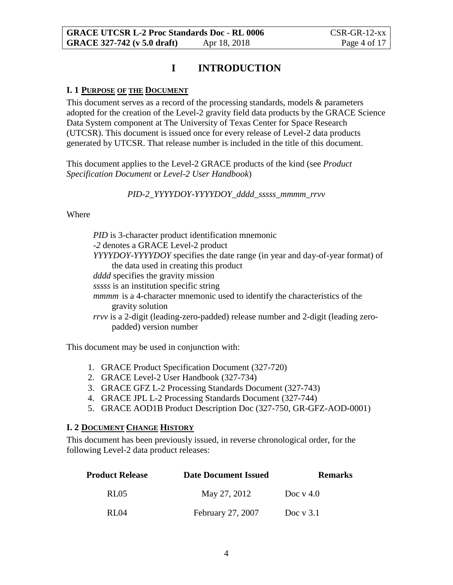### **I INTRODUCTION**

#### **I. 1 PURPOSE OF THE DOCUMENT**

This document serves as a record of the processing standards, models & parameters adopted for the creation of the Level-2 gravity field data products by the GRACE Science Data System component at The University of Texas Center for Space Research (UTCSR). This document is issued once for every release of Level-2 data products generated by UTCSR. That release number is included in the title of this document.

This document applies to the Level-2 GRACE products of the kind (see *Product Specification Document* or *Level-2 User Handbook*)

*PID-2\_YYYYDOY-YYYYDOY\_dddd\_sssss\_mmmm\_rrvv*

#### Where

*PID* is 3-character product identification mnemonic *-2* denotes a GRACE Level-2 product *YYYYDOY-YYYYDOY* specifies the date range (in year and day-of-year format) of the data used in creating this product *dddd* specifies the gravity mission *sssss* is an institution specific string *mmmm* is a 4-character mnemonic used to identify the characteristics of the gravity solution *rrvv* is a 2-digit (leading-zero-padded) release number and 2-digit (leading zeropadded) version number

This document may be used in conjunction with:

- 1. GRACE Product Specification Document (327-720)
- 2. GRACE Level-2 User Handbook (327-734)
- 3. GRACE GFZ L-2 Processing Standards Document (327-743)
- 4. GRACE JPL L-2 Processing Standards Document (327-744)
- 5. GRACE AOD1B Product Description Doc (327-750, GR-GFZ-AOD-0001)

#### **I. 2 DOCUMENT CHANGE HISTORY**

This document has been previously issued, in reverse chronological order, for the following Level-2 data product releases:

| <b>Product Release</b> | <b>Date Document Issued</b> | <b>Remarks</b> |
|------------------------|-----------------------------|----------------|
| RL05                   | May 27, 2012                | Doc $v$ 4.0    |
| RI 04                  | February 27, 2007           | Doc $v$ 3.1    |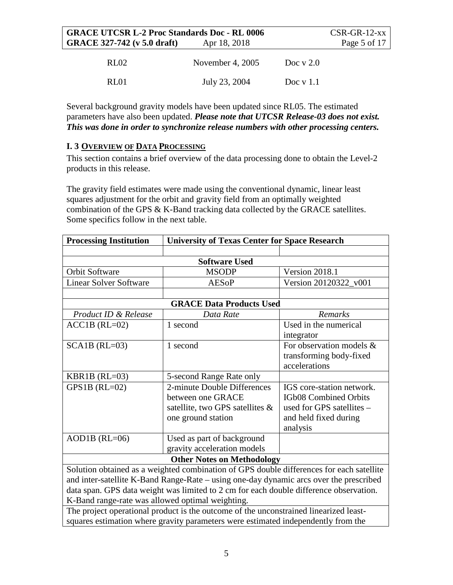| <b>GRACE UTCSR L-2 Proc Standards Doc - RL 0006</b> |                    |             | $CSR-GR-12$ -xx |
|-----------------------------------------------------|--------------------|-------------|-----------------|
| <b>GRACE 327-742 (v 5.0 draft)</b>                  | Apr 18, 2018       |             | Page 5 of 17    |
| RL <sub>02</sub>                                    | November 4, $2005$ | Doc $v$ 2.0 |                 |
| RL01                                                | July 23, 2004      | Doc $v$ 1.1 |                 |

Several background gravity models have been updated since RL05. The estimated parameters have also been updated. *Please note that UTCSR Release-03 does not exist. This was done in order to synchronize release numbers with other processing centers.*

#### **I. 3 OVERVIEW OF DATA PROCESSING**

This section contains a brief overview of the data processing done to obtain the Level-2 products in this release.

The gravity field estimates were made using the conventional dynamic, linear least squares adjustment for the orbit and gravity field from an optimally weighted combination of the GPS & K-Band tracking data collected by the GRACE satellites. Some specifics follow in the next table.

| <b>Processing Institution</b><br><b>University of Texas Center for Space Research</b>    |                                 |                           |  |  |
|------------------------------------------------------------------------------------------|---------------------------------|---------------------------|--|--|
|                                                                                          |                                 |                           |  |  |
|                                                                                          | <b>Software Used</b>            |                           |  |  |
| Orbit Software                                                                           | <b>MSODP</b>                    | Version 2018.1            |  |  |
| <b>Linear Solver Software</b>                                                            | <b>AESoP</b>                    | Version 20120322_v001     |  |  |
|                                                                                          |                                 |                           |  |  |
|                                                                                          | <b>GRACE Data Products Used</b> |                           |  |  |
| Product ID & Release                                                                     | Data Rate                       | Remarks                   |  |  |
| $ACC1B (RL=02)$                                                                          | 1 second                        | Used in the numerical     |  |  |
|                                                                                          |                                 | integrator                |  |  |
| $SCA1B (RL=03)$                                                                          | 1 second                        | For observation models &  |  |  |
|                                                                                          |                                 | transforming body-fixed   |  |  |
|                                                                                          |                                 | accelerations             |  |  |
| KBR1B $(RL=03)$                                                                          | 5-second Range Rate only        |                           |  |  |
| GPS1B $(RL=02)$                                                                          | 2-minute Double Differences     | IGS core-station network. |  |  |
|                                                                                          | between one GRACE               | IGb08 Combined Orbits     |  |  |
|                                                                                          | satellite, two GPS satellites & | used for GPS satellites - |  |  |
|                                                                                          | one ground station              | and held fixed during     |  |  |
|                                                                                          |                                 | analysis                  |  |  |
| $AOD1B$ (RL=06)                                                                          | Used as part of background      |                           |  |  |
|                                                                                          | gravity acceleration models     |                           |  |  |
| <b>Other Notes on Methodology</b>                                                        |                                 |                           |  |  |
| Solution obtained as a weighted combination of GPS double differences for each satellite |                                 |                           |  |  |
| and inter-satellite K-Band Range-Rate – using one-day dynamic arcs over the prescribed   |                                 |                           |  |  |
| data span. GPS data weight was limited to 2 cm for each double difference observation.   |                                 |                           |  |  |
| K-Band range-rate was allowed optimal weighting.                                         |                                 |                           |  |  |
| The project operational product is the outcome of the unconstrained linearized least-    |                                 |                           |  |  |
| squares estimation where gravity parameters were estimated independently from the        |                                 |                           |  |  |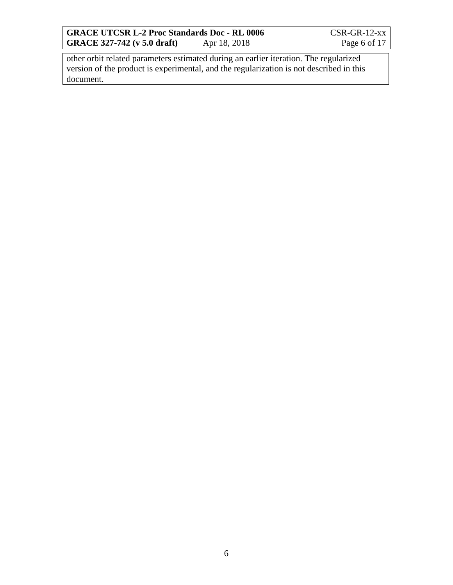**GRACE UTCSR L-2 Proc Standards Doc - RL 0006** CSR-GR-12-xx<br> **GRACE 327-742 (v 5.0 draft)** Apr 18, 2018 Page 6 of 17 **GRACE 327-742 (v 5.0 draft)** 

other orbit related parameters estimated during an earlier iteration. The regularized version of the product is experimental, and the regularization is not described in this document.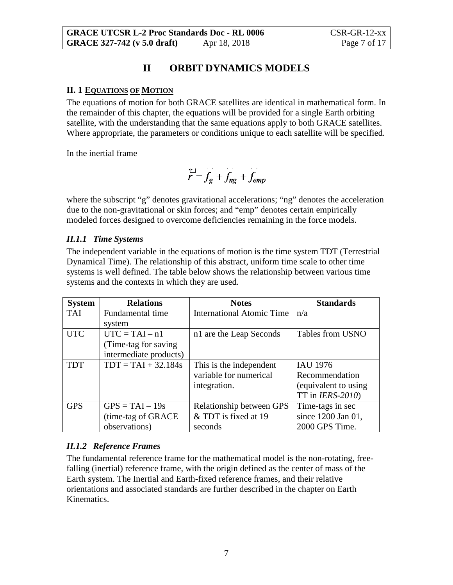### **II ORBIT DYNAMICS MODELS**

#### **II. 1 EQUATIONS OF MOTION**

The equations of motion for both GRACE satellites are identical in mathematical form. In the remainder of this chapter, the equations will be provided for a single Earth orbiting satellite, with the understanding that the same equations apply to both GRACE satellites. Where appropriate, the parameters or conditions unique to each satellite will be specified.

In the inertial frame

$$
\overline{r} = \overline{f_g} + \overline{f_{ng}} + \overline{f_{emp}}
$$

where the subscript "g" denotes gravitational accelerations; "ng" denotes the acceleration due to the non-gravitational or skin forces; and "emp" denotes certain empirically modeled forces designed to overcome deficiencies remaining in the force models.

#### *II.1.1 Time Systems*

The independent variable in the equations of motion is the time system TDT (Terrestrial Dynamical Time). The relationship of this abstract, uniform time scale to other time systems is well defined. The table below shows the relationship between various time systems and the contexts in which they are used.

| <b>System</b> | <b>Relations</b>       | <b>Notes</b>                     | <b>Standards</b>     |
|---------------|------------------------|----------------------------------|----------------------|
| <b>TAI</b>    | Fundamental time       | <b>International Atomic Time</b> | n/a                  |
|               | system                 |                                  |                      |
| <b>UTC</b>    | $UTC = TAI - n1$       | n1 are the Leap Seconds          | Tables from USNO     |
|               | (Time-tag for saving)  |                                  |                      |
|               | intermediate products) |                                  |                      |
| <b>TDT</b>    | $TDT = TAI + 32.184s$  | This is the independent          | <b>IAU 1976</b>      |
|               |                        | variable for numerical           | Recommendation       |
|               |                        | integration.                     | (equivalent to using |
|               |                        |                                  | TT in $IERS-2010$ )  |
| <b>GPS</b>    | $GPS = TAI - 19s$      | Relationship between GPS         | Time-tags in sec     |
|               | (time-tag of GRACE)    | & TDT is fixed at 19             | since 1200 Jan 01,   |
|               | observations)          | seconds                          | 2000 GPS Time.       |

#### *II.1.2 Reference Frames*

The fundamental reference frame for the mathematical model is the non-rotating, freefalling (inertial) reference frame, with the origin defined as the center of mass of the Earth system. The Inertial and Earth-fixed reference frames, and their relative orientations and associated standards are further described in the chapter on Earth Kinematics.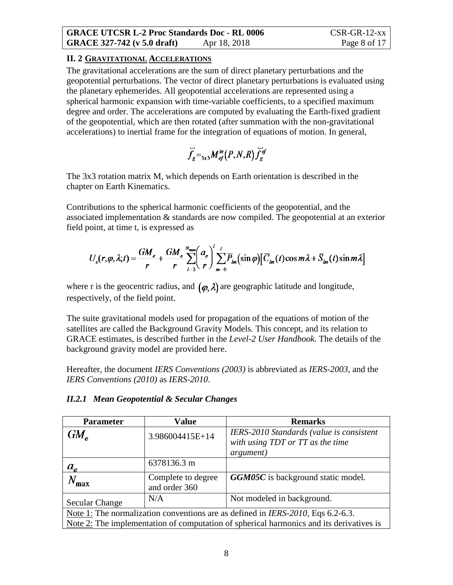#### **II. 2 GRAVITATIONAL ACCELERATIONS**

The gravitational accelerations are the sum of direct planetary perturbations and the geopotential perturbations. The vector of direct planetary perturbations is evaluated using the planetary ephemerides. All geopotential accelerations are represented using a spherical harmonic expansion with time-variable coefficients, to a specified maximum degree and order. The accelerations are computed by evaluating the Earth-fixed gradient of the geopotential, which are then rotated (after summation with the non-gravitational accelerations) to inertial frame for the integration of equations of motion. In general,

$$
\overrightarrow{f}_g =_{3x3} M_{ef}^{in}(P,N,R) \overrightarrow{f}_g^{ef}
$$

The 3x3 rotation matrix M, which depends on Earth orientation is described in the chapter on Earth Kinematics.

Contributions to the spherical harmonic coefficients of the geopotential, and the associated implementation & standards are now compiled. The geopotential at an exterior field point, at time t, is expressed as

$$
U_{s}(r,\varphi,\lambda;t)=\frac{GM_e}{r}+\frac{GM_e}{r}\sum_{l=2}^{N_{\text{max}}}\left(\frac{a_e}{r}\right)^l\sum_{m=0}^l\overline{P}_{lm}(\sin\varphi)\left[\overline{C}_{lm}(t)\cos m\lambda+\overline{S}_{lm}(t)\sin m\lambda\right]
$$

where r is the geocentric radius, and  $(\varphi, \lambda)$  are geographic latitude and longitude, respectively, of the field point.

The suite gravitational models used for propagation of the equations of motion of the satellites are called the Background Gravity Models. This concept, and its relation to GRACE estimates, is described further in the *Level-2 User Handbook*. The details of the background gravity model are provided here.

Hereafter, the document *IERS Conventions (2003)* is abbreviated as *IERS-2003*, and the *IERS Conventions (2010)* as *IERS-2010*.

| <b>Parameter</b>                                                                        | <b>Value</b>                        | <b>Remarks</b>                                                                                    |  |
|-----------------------------------------------------------------------------------------|-------------------------------------|---------------------------------------------------------------------------------------------------|--|
| $GM_{\circ}$                                                                            | 3.986004415E+14                     | IERS-2010 Standards (value is consistent<br>with using TDT or TT as the time<br><i>argument</i> ) |  |
| $a_e$                                                                                   | 6378136.3 m                         |                                                                                                   |  |
| $N_{\rm max}$                                                                           | Complete to degree<br>and order 360 | <b>GGM05C</b> is background static model.                                                         |  |
| <b>Secular Change</b>                                                                   | N/A                                 | Not modeled in background.                                                                        |  |
| Note 1: The normalization conventions are as defined in <i>IERS-2010</i> , Eqs 6.2-6.3. |                                     |                                                                                                   |  |
| Note 2: The implementation of computation of spherical harmonics and its derivatives is |                                     |                                                                                                   |  |

#### *II.2.1 Mean Geopotential & Secular Changes*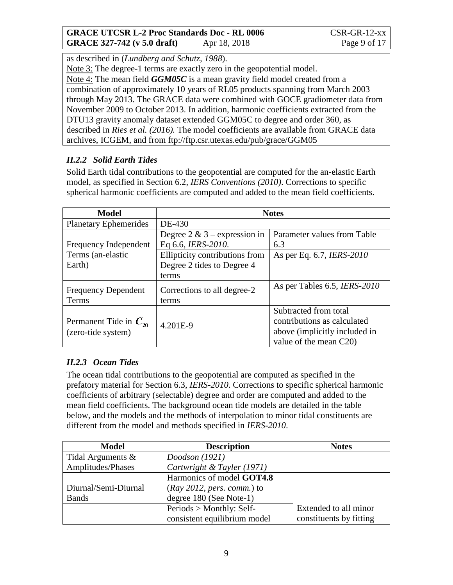as described in (*Lundberg and Schutz, 1988*).

Note 3: The degree-1 terms are exactly zero in the geopotential model.

Note 4: The mean field *GGM05C* is a mean gravity field model created from a combination of approximately 10 years of RL05 products spanning from March 2003 through May 2013. The GRACE data were combined with GOCE gradiometer data from November 2009 to October 2013. In addition, harmonic coefficients extracted from the DTU13 gravity anomaly dataset extended GGM05C to degree and order 360, as described in *Ries et al. (2016).* The model coefficients are available from GRACE data archives, ICGEM, and from ftp://ftp.csr.utexas.edu/pub/grace/GGM05

### *II.2.2 Solid Earth Tides*

Solid Earth tidal contributions to the geopotential are computed for the an-elastic Earth model, as specified in Section 6.2, *IERS Conventions (2010)*. Corrections to specific spherical harmonic coefficients are computed and added to the mean field coefficients.

| Model                        | <b>Notes</b>                    |                                  |
|------------------------------|---------------------------------|----------------------------------|
| <b>Planetary Ephemerides</b> | DE-430                          |                                  |
|                              | Degree $2 \& 3$ – expression in | Parameter values from Table      |
| Frequency Independent        | Eq 6.6, IERS-2010.              | 6.3                              |
| Terms (an-elastic            | Ellipticity contributions from  | As per Eq. 6.7, <i>IERS-2010</i> |
| Earth)                       | Degree 2 tides to Degree 4      |                                  |
|                              | terms                           |                                  |
| <b>Frequency Dependent</b>   | Corrections to all degree-2     | As per Tables 6.5, IERS-2010     |
| Terms                        | terms                           |                                  |
|                              |                                 | Subtracted from total            |
| Permanent Tide in $C_{20}$   | 4.201E-9                        | contributions as calculated      |
| (zero-tide system)           |                                 | above (implicitly included in    |
|                              |                                 | value of the mean C20)           |

### *II.2.3 Ocean Tides*

The ocean tidal contributions to the geopotential are computed as specified in the prefatory material for Section 6.3, *IERS-2010*. Corrections to specific spherical harmonic coefficients of arbitrary (selectable) degree and order are computed and added to the mean field coefficients. The background ocean tide models are detailed in the table below, and the models and the methods of interpolation to minor tidal constituents are different from the model and methods specified in *IERS-2010*.

| <b>Model</b>         | <b>Description</b>           | <b>Notes</b>            |
|----------------------|------------------------------|-------------------------|
| Tidal Arguments &    | Doodson $(1921)$             |                         |
| Amplitudes/Phases    | Cartwright & Tayler (1971)   |                         |
|                      | Harmonics of model GOT4.8    |                         |
| Diurnal/Semi-Diurnal | $(Ray 2012, pers. comm.)$ to |                         |
| <b>Bands</b>         | degree 180 (See Note-1)      |                         |
|                      | $Periods > Monthly: Self-$   | Extended to all minor   |
|                      | consistent equilibrium model | constituents by fitting |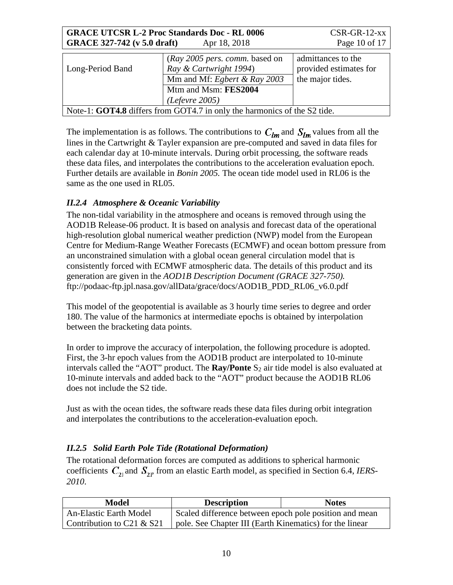| <b>GRACE UTCSR L-2 Proc Standards Doc - RL 0006</b><br><b>GRACE 327-742 (v 5.0 draft)</b> | $CSR-GR-12$ -xx<br>Page 10 of 17                                                                                                     |                                                                  |
|-------------------------------------------------------------------------------------------|--------------------------------------------------------------------------------------------------------------------------------------|------------------------------------------------------------------|
| Long-Period Band                                                                          | (Ray 2005 pers. comm. based on<br>Ray & Cartwright 1994)<br>Mm and Mf: Egbert & Ray 2003<br>Mtm and Msm: FES2004<br>(Reference 2005) | admittances to the<br>provided estimates for<br>the major tides. |
| Note-1: GOT4.8 differs from GOT4.7 in only the harmonics of the S2 tide.                  |                                                                                                                                      |                                                                  |

The implementation is as follows. The contributions to  $C_{lm}$  and  $S_{lm}$  values from all the lines in the Cartwright & Tayler expansion are pre-computed and saved in data files for each calendar day at 10-minute intervals. During orbit processing, the software reads these data files, and interpolates the contributions to the acceleration evaluation epoch. Further details are available in *Bonin 2005.* The ocean tide model used in RL06 is the same as the one used in RL05.

#### *II.2.4 Atmosphere & Oceanic Variability*

The non-tidal variability in the atmosphere and oceans is removed through using the AOD1B Release-06 product. It is based on analysis and forecast data of the operational high-resolution global numerical weather prediction (NWP) model from the European Centre for Medium-Range Weather Forecasts (ECMWF) and ocean bottom pressure from an unconstrained simulation with a global ocean general circulation model that is consistently forced with ECMWF atmospheric data. The details of this product and its generation are given in the *AOD1B Description Document (GRACE 327-750).* ftp://podaac-ftp.jpl.nasa.gov/allData/grace/docs/AOD1B\_PDD\_RL06\_v6.0.pdf

This model of the geopotential is available as 3 hourly time series to degree and order 180. The value of the harmonics at intermediate epochs is obtained by interpolation between the bracketing data points.

In order to improve the accuracy of interpolation, the following procedure is adopted. First, the 3-hr epoch values from the AOD1B product are interpolated to 10-minute intervals called the "AOT" product. The  $Ray/Ponte S_2$  air tide model is also evaluated at 10-minute intervals and added back to the "AOT" product because the AOD1B RL06 does not include the S2 tide.

Just as with the ocean tides, the software reads these data files during orbit integration and interpolates the contributions to the acceleration-evaluation epoch.

#### <span id="page-10-0"></span>*II.2.5 Solid Earth Pole Tide (Rotational Deformation)*

The rotational deformation forces are computed as additions to spherical harmonic coefficients  $\overline{C}_{21}$  and  $\overline{S}_{21}$ , from an elastic Earth model, as specified in Section 6.4, *IERS*-*2010*.

| Model                         | <b>Description</b>                                      | <b>Notes</b> |
|-------------------------------|---------------------------------------------------------|--------------|
| <b>An-Elastic Earth Model</b> | Scaled difference between epoch pole position and mean  |              |
| Contribution to C21 $&$ S21   | pole. See Chapter III (Earth Kinematics) for the linear |              |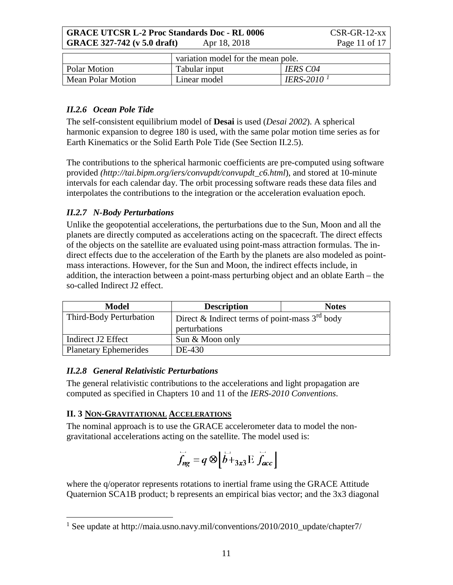**GRACE UTCSR L-2 Proc Standards Doc - RL 0006** CSR-GR-12-xx **GRACE 327-742 (v 5.0 draft)** Apr 18, 2018 Page 11 of 17

|                     | variation model for the mean pole. |                 |
|---------------------|------------------------------------|-----------------|
| <b>Polar Motion</b> | Tabular input                      | <b>IERS C04</b> |
| Mean Polar Motion   | Linear model                       | IERS-2010 $^1$  |

#### *II.2.6 Ocean Pole Tide*

The self-consistent equilibrium model of **Desai** is used (*Desai 2002*). A spherical harmonic expansion to degree 180 is used, with the same polar motion time series as for Earth Kinematics or the Solid Earth Pole Tide (See Section [II.2.5\)](#page-10-0).

The contributions to the spherical harmonic coefficients are pre-computed using software provided *(http://tai.bipm.org/iers/convupdt/convupdt\_c6.html*), and stored at 10-minute intervals for each calendar day. The orbit processing software reads these data files and interpolates the contributions to the integration or the acceleration evaluation epoch.

#### *II.2.7 N-Body Perturbations*

Unlike the geopotential accelerations, the perturbations due to the Sun, Moon and all the planets are directly computed as accelerations acting on the spacecraft. The direct effects of the objects on the satellite are evaluated using point-mass attraction formulas. The indirect effects due to the acceleration of the Earth by the planets are also modeled as pointmass interactions. However, for the Sun and Moon, the indirect effects include, in addition, the interaction between a point-mass perturbing object and an oblate Earth – the so-called Indirect J2 effect.

| <b>Model</b>                 | <b>Description</b>                               | <b>Notes</b> |
|------------------------------|--------------------------------------------------|--------------|
| Third-Body Perturbation      | Direct & Indirect terms of point-mass $3rd$ body |              |
|                              | perturbations                                    |              |
| Indirect J2 Effect           | Sun & Moon only                                  |              |
| <b>Planetary Ephemerides</b> | DE-430                                           |              |

#### *II.2.8 General Relativistic Perturbations*

The general relativistic contributions to the accelerations and light propagation are computed as specified in Chapters 10 and 11 of the *IERS-2010 Conventions*.

#### **II. 3 NON-GRAVITATIONAL ACCELERATIONS**

The nominal approach is to use the GRACE accelerometer data to model the nongravitational accelerations acting on the satellite. The model used is:

$$
\overline{f}_{ng} = q \otimes \left[ \overline{b} +_{3x3} E \overline{f}_{acc} \right]
$$

where the q/operator represents rotations to inertial frame using the GRACE Attitude Quaternion SCA1B product; b represents an empirical bias vector; and the 3x3 diagonal

<span id="page-11-0"></span> $^1$  See update at http://maia.usno.navy.mil/conventions/2010/2010\_update/chapter7/  $\,$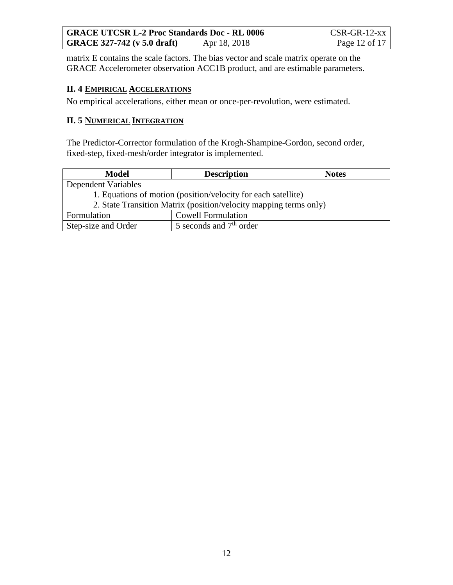matrix E contains the scale factors. The bias vector and scale matrix operate on the GRACE Accelerometer observation ACC1B product, and are estimable parameters.

#### **II. 4 EMPIRICAL ACCELERATIONS**

No empirical accelerations, either mean or once-per-revolution, were estimated.

#### **II. 5 NUMERICAL INTEGRATION**

The Predictor-Corrector formulation of the Krogh-Shampine-Gordon, second order, fixed-step, fixed-mesh/order integrator is implemented.

| <b>Model</b>                                                      | <b>Description</b>        | <b>Notes</b> |
|-------------------------------------------------------------------|---------------------------|--------------|
| Dependent Variables                                               |                           |              |
| 1. Equations of motion (position/velocity for each satellite)     |                           |              |
| 2. State Transition Matrix (position/velocity mapping terms only) |                           |              |
| Formulation                                                       | <b>Cowell Formulation</b> |              |
| Step-size and Order                                               | 5 seconds and $7th$ order |              |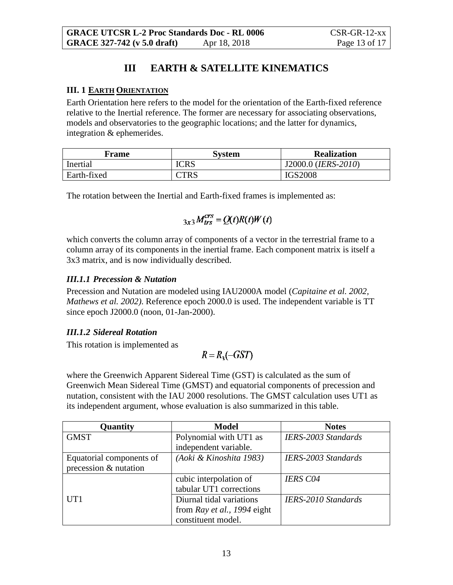# **III EARTH & SATELLITE KINEMATICS**

#### <span id="page-13-0"></span>**III. 1 EARTH ORIENTATION**

Earth Orientation here refers to the model for the orientation of the Earth-fixed reference relative to the Inertial reference. The former are necessary for associating observations, models and observatories to the geographic locations; and the latter for dynamics, integration & ephemerides.

| Frame       | System      | <b>Realization</b>  |
|-------------|-------------|---------------------|
| Inertial    | <b>ICRS</b> | J2000.0 (IERS-2010) |
| Earth-fixed | CTRS        | <b>IGS2008</b>      |

The rotation between the Inertial and Earth-fixed frames is implemented as:

$$
{}_{3x3}M_{trs}^{crs} = Q(t)R(t)W(t)
$$

which converts the column array of components of a vector in the terrestrial frame to a column array of its components in the inertial frame. Each component matrix is itself a 3x3 matrix, and is now individually described.

#### *III.1.1 Precession & Nutation*

Precession and Nutation are modeled using IAU2000A model (*Capitaine et al. 2002, Mathews et al. 2002)*. Reference epoch 2000.0 is used. The independent variable is TT since epoch J2000.0 (noon, 01-Jan-2000).

#### *III.1.2 Sidereal Rotation*

This rotation is implemented as

$$
R = R_{3}(-GST)
$$

where the Greenwich Apparent Sidereal Time (GST) is calculated as the sum of Greenwich Mean Sidereal Time (GMST) and equatorial components of precession and nutation, consistent with the IAU 2000 resolutions. The GMST calculation uses UT1 as its independent argument, whose evaluation is also summarized in this table.

| Quantity                 | <b>Model</b>                | <b>Notes</b>               |
|--------------------------|-----------------------------|----------------------------|
| <b>GMST</b>              | Polynomial with UT1 as      | <b>IERS-2003 Standards</b> |
|                          | independent variable.       |                            |
| Equatorial components of | (Aoki & Kinoshita 1983)     | IERS-2003 Standards        |
| precession & nutation    |                             |                            |
|                          | cubic interpolation of      | <b>IERS C04</b>            |
|                          | tabular UT1 corrections     |                            |
| UT1                      | Diurnal tidal variations    | <b>IERS-2010 Standards</b> |
|                          | from Ray et al., 1994 eight |                            |
|                          | constituent model.          |                            |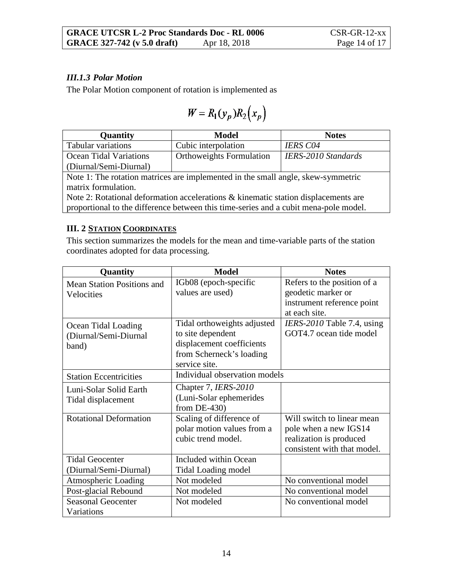#### *III.1.3 Polar Motion*

The Polar Motion component of rotation is implemented as

$$
W = R_1(\mathbf{y}_p) R_2\big(\mathbf{x}_p\big)
$$

| Quantity                                                                         | <b>Model</b>                    | <b>Notes</b>               |
|----------------------------------------------------------------------------------|---------------------------------|----------------------------|
| Tabular variations                                                               | Cubic interpolation             | <b>IERS C04</b>            |
| <b>Ocean Tidal Variations</b>                                                    | <b>Orthoweights Formulation</b> | <b>IERS-2010 Standards</b> |
| (Diurnal/Semi-Diurnal)                                                           |                                 |                            |
| Note 1: The rotation matrices are implemented in the small angle, skew-symmetric |                                 |                            |
| matrix formulation.                                                              |                                 |                            |

Note 2: Rotational deformation accelerations & kinematic station displacements are proportional to the difference between this time-series and a cubit mena-pole model.

#### **III. 2 STATION COORDINATES**

This section summarizes the models for the mean and time-variable parts of the station coordinates adopted for data processing.

| Quantity                          | <b>Model</b>                  | <b>Notes</b>                |
|-----------------------------------|-------------------------------|-----------------------------|
| <b>Mean Station Positions and</b> | IGb08 (epoch-specific         | Refers to the position of a |
| Velocities                        | values are used)              | geodetic marker or          |
|                                   |                               | instrument reference point  |
|                                   |                               | at each site.               |
| Ocean Tidal Loading               | Tidal orthoweights adjusted   | IERS-2010 Table 7.4, using  |
| (Diurnal/Semi-Diurnal             | to site dependent             | GOT4.7 ocean tide model     |
| band)                             | displacement coefficients     |                             |
|                                   | from Scherneck's loading      |                             |
|                                   | service site.                 |                             |
| <b>Station Eccentricities</b>     | Individual observation models |                             |
| Luni-Solar Solid Earth            | Chapter 7, IERS-2010          |                             |
| Tidal displacement                | (Luni-Solar ephemerides       |                             |
|                                   | from $DE-430$                 |                             |
| <b>Rotational Deformation</b>     | Scaling of difference of      | Will switch to linear mean  |
|                                   | polar motion values from a    | pole when a new IGS14       |
|                                   | cubic trend model.            | realization is produced     |
|                                   |                               | consistent with that model. |
| <b>Tidal Geocenter</b>            | Included within Ocean         |                             |
| (Diurnal/Semi-Diurnal)            | Tidal Loading model           |                             |
| <b>Atmospheric Loading</b>        | Not modeled                   | No conventional model       |
| Post-glacial Rebound              | Not modeled                   | No conventional model       |
| <b>Seasonal Geocenter</b>         | Not modeled                   | No conventional model       |
| Variations                        |                               |                             |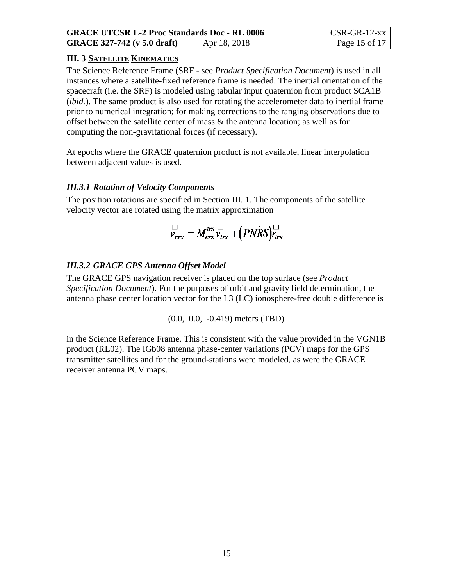#### **III. 3 SATELLITE KINEMATICS**

The Science Reference Frame (SRF - see *Product Specification Document*) is used in all instances where a satellite-fixed reference frame is needed. The inertial orientation of the spacecraft (i.e. the SRF) is modeled using tabular input quaternion from product SCA1B (*ibid.*). The same product is also used for rotating the accelerometer data to inertial frame prior to numerical integration; for making corrections to the ranging observations due to offset between the satellite center of mass & the antenna location; as well as for computing the non-gravitational forces (if necessary).

At epochs where the GRACE quaternion product is not available, linear interpolation between adjacent values is used.

#### *III.3.1 Rotation of Velocity Components*

The position rotations are specified in Section [III. 1.](#page-13-0) The components of the satellite velocity vector are rotated using the matrix approximation

$$
\nabla_{\text{crs}}^{\text{LJ}} = M_{\text{crs}}^{\text{trs}} \nu_{\text{trs}}^{\text{LJ}} + (PNRS) \nu_{\text{trs}}^{\text{LJ}}
$$

#### *III.3.2 GRACE GPS Antenna Offset Model*

The GRACE GPS navigation receiver is placed on the top surface (see *Product Specification Document*). For the purposes of orbit and gravity field determination, the antenna phase center location vector for the L3 (LC) ionosphere-free double difference is

(0.0, 0.0, -0.419) meters (TBD)

in the Science Reference Frame. This is consistent with the value provided in the VGN1B product (RL02). The IGb08 antenna phase-center variations (PCV) maps for the GPS transmitter satellites and for the ground-stations were modeled, as were the GRACE receiver antenna PCV maps.